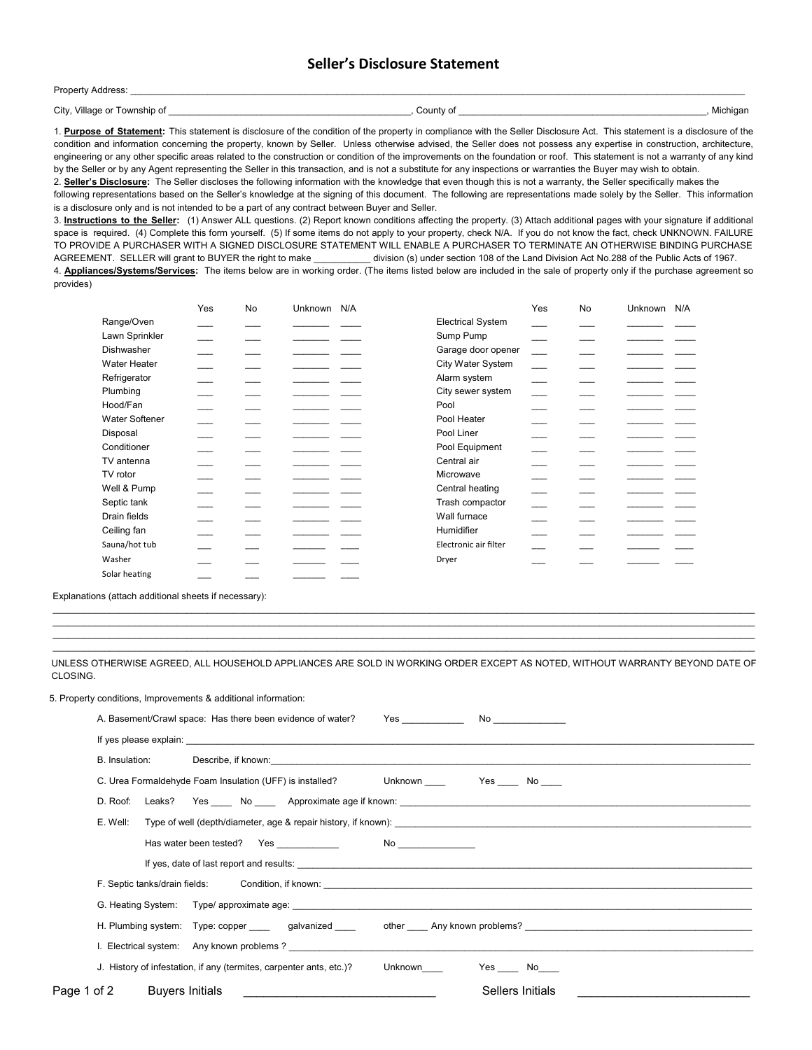## **Seller's Disclosure Statement**

| Property Address:               |           |          |
|---------------------------------|-----------|----------|
| City, Village or<br>Township of | County of | Michigan |
|                                 |           |          |

1. **Purpose of Statement:** This statement is disclosure of the condition of the property in compliance with the Seller Disclosure Act. This statement is a disclosure of the condition and information concerning the property, known by Seller. Unless otherwise advised, the Seller does not possess any expertise in construction, architecture, engineering or any other specific areas related to the construction or condition of the improvements on the foundation or roof. This statement is not a warranty of any kind by the Seller or by any Agent representing the Seller in this transaction, and is not a substitute for any inspections or warranties the Buyer may wish to obtain. 2. **Seller's Disclosure:** The Seller discloses the following information with the knowledge that even though this is not a warranty, the Seller specifically makes the

following representations based on the Seller's knowledge at the signing of this document. The following are representations made solely by the Seller. This information is a disclosure only and is not intended to be a part of any contract between Buyer and Seller.

3. **Instructions to the Seller:** (1) Answer ALL questions. (2) Report known conditions affecting the property. (3) Attach additional pages with your signature if additional space is required. (4) Complete this form yourself. (5) If some items do not apply to your property, check N/A. If you do not know the fact, check UNKNOWN. FAILURE TO PROVIDE A PURCHASER WITH A SIGNED DISCLOSURE STATEMENT WILL ENABLE A PURCHASER TO TERMINATE AN OTHERWISE BINDING PURCHASE AGREEMENT. SELLER will grant to BUYER the right to make \_\_\_\_\_\_\_\_\_\_\_ division (s) under section 108 of the Land Division Act No.288 of the Public Acts of 1967.

4. **Appliances/Systems/Services:** The items below are in working order. (The items listed below are included in the sale of property only if the purchase agreement so provides)

|                       | Yes | No | Unknown N/A |                          | Yes | No | Unknown | N/A |
|-----------------------|-----|----|-------------|--------------------------|-----|----|---------|-----|
| Range/Oven            |     |    |             | <b>Electrical System</b> |     |    |         |     |
| Lawn Sprinkler        |     |    |             | Sump Pump                |     |    |         |     |
| Dishwasher            |     |    |             | Garage door opener       |     |    |         |     |
| Water Heater          |     |    |             | City Water System        |     |    |         |     |
| Refrigerator          |     |    |             | Alarm system             |     |    |         |     |
| Plumbing              |     |    |             | City sewer system        |     |    |         |     |
| Hood/Fan              |     |    |             | Pool                     |     |    |         |     |
| <b>Water Softener</b> |     |    |             | Pool Heater              |     |    |         |     |
| Disposal              |     |    |             | Pool Liner               |     |    |         |     |
| Conditioner           |     |    |             | Pool Equipment           |     |    |         |     |
| TV antenna            |     |    |             | Central air              |     |    |         |     |
| TV rotor              |     |    |             | Microwave                |     |    |         |     |
| Well & Pump           |     |    |             | Central heating          |     |    |         |     |
| Septic tank           |     |    |             | Trash compactor          |     |    |         |     |
| Drain fields          |     |    |             | Wall furnace             |     |    |         |     |
| Ceiling fan           |     |    |             | Humidifier               |     |    |         |     |
| Sauna/hot tub         |     |    |             | Electronic air filter    |     |    |         |     |
| Washer                |     |    |             | Dryer                    |     |    |         |     |
| Solar heating         |     |    |             |                          |     |    |         |     |

Explanations (attach additional sheets if necessary):

UNLESS OTHERWISE AGREED, ALL HOUSEHOLD APPLIANCES ARE SOLD IN WORKING ORDER EXCEPT AS NOTED, WITHOUT WARRANTY BEYOND DATE OF CLOSING.

 $\mathcal{L}_\mathcal{L} = \mathcal{L}_\mathcal{L} = \mathcal{L}_\mathcal{L} = \mathcal{L}_\mathcal{L} = \mathcal{L}_\mathcal{L} = \mathcal{L}_\mathcal{L} = \mathcal{L}_\mathcal{L} = \mathcal{L}_\mathcal{L} = \mathcal{L}_\mathcal{L} = \mathcal{L}_\mathcal{L} = \mathcal{L}_\mathcal{L} = \mathcal{L}_\mathcal{L} = \mathcal{L}_\mathcal{L} = \mathcal{L}_\mathcal{L} = \mathcal{L}_\mathcal{L} = \mathcal{L}_\mathcal{L} = \mathcal{L}_\mathcal{L}$  $\mathcal{L}_\mathcal{L} = \mathcal{L}_\mathcal{L} = \mathcal{L}_\mathcal{L} = \mathcal{L}_\mathcal{L} = \mathcal{L}_\mathcal{L} = \mathcal{L}_\mathcal{L} = \mathcal{L}_\mathcal{L} = \mathcal{L}_\mathcal{L} = \mathcal{L}_\mathcal{L} = \mathcal{L}_\mathcal{L} = \mathcal{L}_\mathcal{L} = \mathcal{L}_\mathcal{L} = \mathcal{L}_\mathcal{L} = \mathcal{L}_\mathcal{L} = \mathcal{L}_\mathcal{L} = \mathcal{L}_\mathcal{L} = \mathcal{L}_\mathcal{L}$  $\mathcal{L}_\mathcal{L} = \mathcal{L}_\mathcal{L} = \mathcal{L}_\mathcal{L} = \mathcal{L}_\mathcal{L} = \mathcal{L}_\mathcal{L} = \mathcal{L}_\mathcal{L} = \mathcal{L}_\mathcal{L} = \mathcal{L}_\mathcal{L} = \mathcal{L}_\mathcal{L} = \mathcal{L}_\mathcal{L} = \mathcal{L}_\mathcal{L} = \mathcal{L}_\mathcal{L} = \mathcal{L}_\mathcal{L} = \mathcal{L}_\mathcal{L} = \mathcal{L}_\mathcal{L} = \mathcal{L}_\mathcal{L} = \mathcal{L}_\mathcal{L}$ 

5. Property conditions, Improvements & additional information:

|             |          |                 | A. Basement/Crawl space: Has there been evidence of water?                                                                                                                                                                     |
|-------------|----------|-----------------|--------------------------------------------------------------------------------------------------------------------------------------------------------------------------------------------------------------------------------|
|             |          |                 | If yes please explain: The contract of the contract of the contract of the contract of the contract of the contract of the contract of the contract of the contract of the contract of the contract of the contract of the con |
|             |          |                 |                                                                                                                                                                                                                                |
|             |          |                 | C. Urea Formaldehyde Foam Insulation (UFF) is installed? Can Unknown The State No                                                                                                                                              |
|             |          |                 |                                                                                                                                                                                                                                |
|             | E. Well: |                 |                                                                                                                                                                                                                                |
|             |          |                 |                                                                                                                                                                                                                                |
|             |          |                 |                                                                                                                                                                                                                                |
|             |          |                 |                                                                                                                                                                                                                                |
|             |          |                 |                                                                                                                                                                                                                                |
|             |          |                 | H. Plumbing system: Type: copper ______ galvanized _____ other ____ Any known problems? _______________________                                                                                                                |
|             |          |                 | I. Electrical system: Any known problems ? The contract of the contract of the contract of the contract of the contract of the contract of the contract of the contract of the contract of the contract of the contract of the |
|             |          |                 | J. History of infestation, if any (termites, carpenter ants, etc.)?                                                                                                                                                            |
| Page 1 of 2 |          | Buyers Initials | Sellers Initials                                                                                                                                                                                                               |